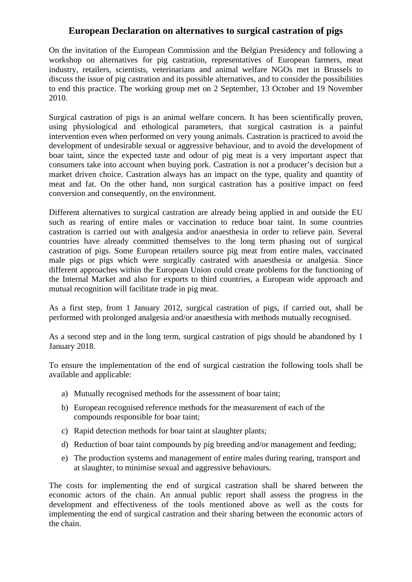## **European Declaration on alternatives to surgical castration of pigs**

On the invitation of the European Commission and the Belgian Presidency and following a workshop on alternatives for pig castration, representatives of European farmers, meat industry, retailers, scientists, veterinarians and animal welfare NGOs met in Brussels to discuss the issue of pig castration and its possible alternatives, and to consider the possibilities to end this practice. The working group met on 2 September, 13 October and 19 November 2010.

Surgical castration of pigs is an animal welfare concern. It has been scientifically proven, using physiological and ethological parameters, that surgical castration is a painful intervention even when performed on very young animals. Castration is practiced to avoid the development of undesirable sexual or aggressive behaviour, and to avoid the development of boar taint, since the expected taste and odour of pig meat is a very important aspect that consumers take into account when buying pork. Castration is not a producer's decision but a market driven choice. Castration always has an impact on the type, quality and quantity of meat and fat. On the other hand, non surgical castration has a positive impact on feed conversion and consequently, on the environment.

Different alternatives to surgical castration are already being applied in and outside the EU such as rearing of entire males or vaccination to reduce boar taint. In some countries castration is carried out with analgesia and/or anaesthesia in order to relieve pain. Several countries have already committed themselves to the long term phasing out of surgical castration of pigs. Some European retailers source pig meat from entire males, vaccinated male pigs or pigs which were surgically castrated with anaesthesia or analgesia. Since different approaches within the European Union could create problems for the functioning of the Internal Market and also for exports to third countries, a European wide approach and mutual recognition will facilitate trade in pig meat.

As a first step, from 1 January 2012, surgical castration of pigs, if carried out, shall be performed with prolonged analgesia and/or anaesthesia with methods mutually recognised.

As a second step and in the long term, surgical castration of pigs should be abandoned by 1 January 2018.

To ensure the implementation of the end of surgical castration the following tools shall be available and applicable:

- a) Mutually recognised methods for the assessment of boar taint;
- b) European recognised reference methods for the measurement of each of the compounds responsible for boar taint;
- c) Rapid detection methods for boar taint at slaughter plants;
- d) Reduction of boar taint compounds by pig breeding and/or management and feeding;
- e) The production systems and management of entire males during rearing, transport and at slaughter, to minimise sexual and aggressive behaviours.

The costs for implementing the end of surgical castration shall be shared between the economic actors of the chain. An annual public report shall assess the progress in the development and effectiveness of the tools mentioned above as well as the costs for implementing the end of surgical castration and their sharing between the economic actors of the chain.